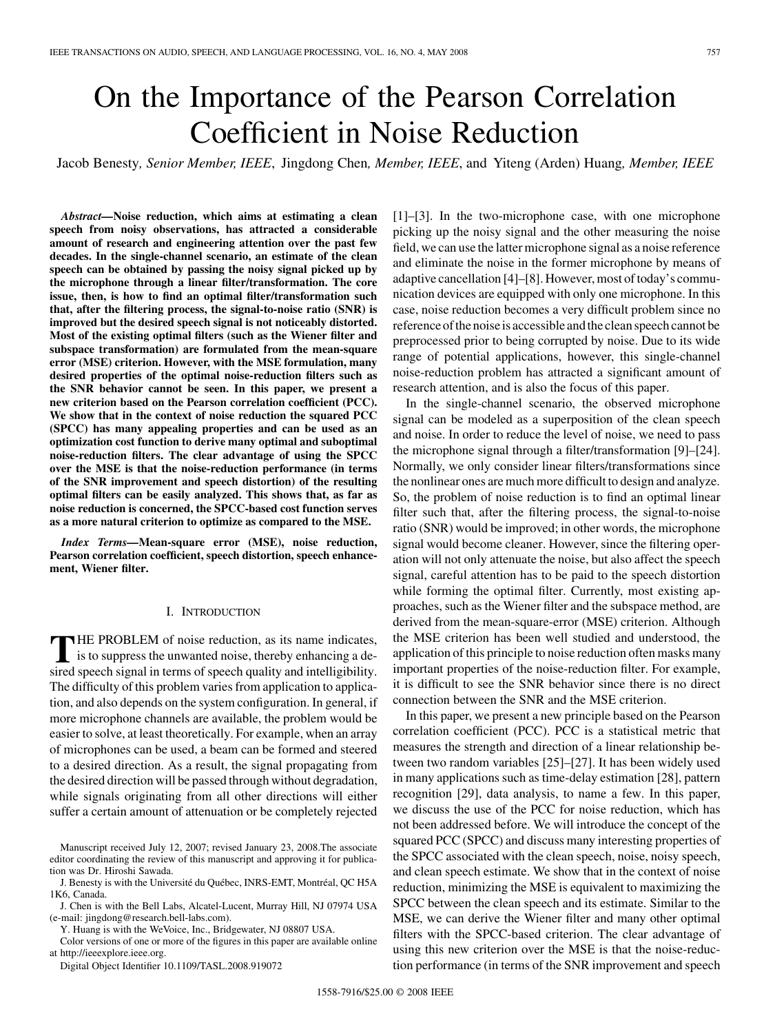# On the Importance of the Pearson Correlation Coefficient in Noise Reduction

Jacob Benesty*, Senior Member, IEEE*, Jingdong Chen*, Member, IEEE*, and Yiteng (Arden) Huang*, Member, IEEE*

*Abstract—***Noise reduction, which aims at estimating a clean speech from noisy observations, has attracted a considerable amount of research and engineering attention over the past few decades. In the single-channel scenario, an estimate of the clean speech can be obtained by passing the noisy signal picked up by the microphone through a linear filter/transformation. The core issue, then, is how to find an optimal filter/transformation such that, after the filtering process, the signal-to-noise ratio (SNR) is improved but the desired speech signal is not noticeably distorted. Most of the existing optimal filters (such as the Wiener filter and subspace transformation) are formulated from the mean-square error (MSE) criterion. However, with the MSE formulation, many desired properties of the optimal noise-reduction filters such as the SNR behavior cannot be seen. In this paper, we present a new criterion based on the Pearson correlation coefficient (PCC). We show that in the context of noise reduction the squared PCC (SPCC) has many appealing properties and can be used as an optimization cost function to derive many optimal and suboptimal noise-reduction filters. The clear advantage of using the SPCC over the MSE is that the noise-reduction performance (in terms of the SNR improvement and speech distortion) of the resulting optimal filters can be easily analyzed. This shows that, as far as noise reduction is concerned, the SPCC-based cost function serves as a more natural criterion to optimize as compared to the MSE.**

*Index Terms—***Mean-square error (MSE), noise reduction, Pearson correlation coefficient, speech distortion, speech enhancement, Wiener filter.**

#### I. INTRODUCTION

**THE PROBLEM** of noise reduction, as its name indicates, is to suppress the unwanted noise, thereby enhancing a desired speech signal in terms of speech quality and intelligibility. The difficulty of this problem varies from application to application, and also depends on the system configuration. In general, if more microphone channels are available, the problem would be easier to solve, at least theoretically. For example, when an array of microphones can be used, a beam can be formed and steered to a desired direction. As a result, the signal propagating from the desired direction will be passed through without degradation, while signals originating from all other directions will either suffer a certain amount of attenuation or be completely rejected

J. Chen is with the Bell Labs, Alcatel-Lucent, Murray Hill, NJ 07974 USA (e-mail: jingdong@research.bell-labs.com).

Y. Huang is with the WeVoice, Inc., Bridgewater, NJ 08807 USA.

Color versions of one or more of the figures in this paper are available online at http://ieeexplore.ieee.org.

Digital Object Identifier 10.1109/TASL.2008.919072

[1]–[3]. In the two-microphone case, with one microphone picking up the noisy signal and the other measuring the noise field, we can use the latter microphone signal as a noise reference and eliminate the noise in the former microphone by means of adaptive cancellation [4]–[8]. However, most of today's communication devices are equipped with only one microphone. In this case, noise reduction becomes a very difficult problem since no reference of the noise is accessible and the clean speech cannot be preprocessed prior to being corrupted by noise. Due to its wide range of potential applications, however, this single-channel noise-reduction problem has attracted a significant amount of research attention, and is also the focus of this paper.

In the single-channel scenario, the observed microphone signal can be modeled as a superposition of the clean speech and noise. In order to reduce the level of noise, we need to pass the microphone signal through a filter/transformation [9]–[24]. Normally, we only consider linear filters/transformations since the nonlinear ones are much more difficult to design and analyze. So, the problem of noise reduction is to find an optimal linear filter such that, after the filtering process, the signal-to-noise ratio (SNR) would be improved; in other words, the microphone signal would become cleaner. However, since the filtering operation will not only attenuate the noise, but also affect the speech signal, careful attention has to be paid to the speech distortion while forming the optimal filter. Currently, most existing approaches, such as the Wiener filter and the subspace method, are derived from the mean-square-error (MSE) criterion. Although the MSE criterion has been well studied and understood, the application of this principle to noise reduction often masks many important properties of the noise-reduction filter. For example, it is difficult to see the SNR behavior since there is no direct connection between the SNR and the MSE criterion.

In this paper, we present a new principle based on the Pearson correlation coefficient (PCC). PCC is a statistical metric that measures the strength and direction of a linear relationship between two random variables [25]–[27]. It has been widely used in many applications such as time-delay estimation [28], pattern recognition [29], data analysis, to name a few. In this paper, we discuss the use of the PCC for noise reduction, which has not been addressed before. We will introduce the concept of the squared PCC (SPCC) and discuss many interesting properties of the SPCC associated with the clean speech, noise, noisy speech, and clean speech estimate. We show that in the context of noise reduction, minimizing the MSE is equivalent to maximizing the SPCC between the clean speech and its estimate. Similar to the MSE, we can derive the Wiener filter and many other optimal filters with the SPCC-based criterion. The clear advantage of using this new criterion over the MSE is that the noise-reduction performance (in terms of the SNR improvement and speech

Manuscript received July 12, 2007; revised January 23, 2008.The associate editor coordinating the review of this manuscript and approving it for publication was Dr. Hiroshi Sawada.

J. Benesty is with the Université du Québec, INRS-EMT, Montréal, QC H5A 1K6, Canada.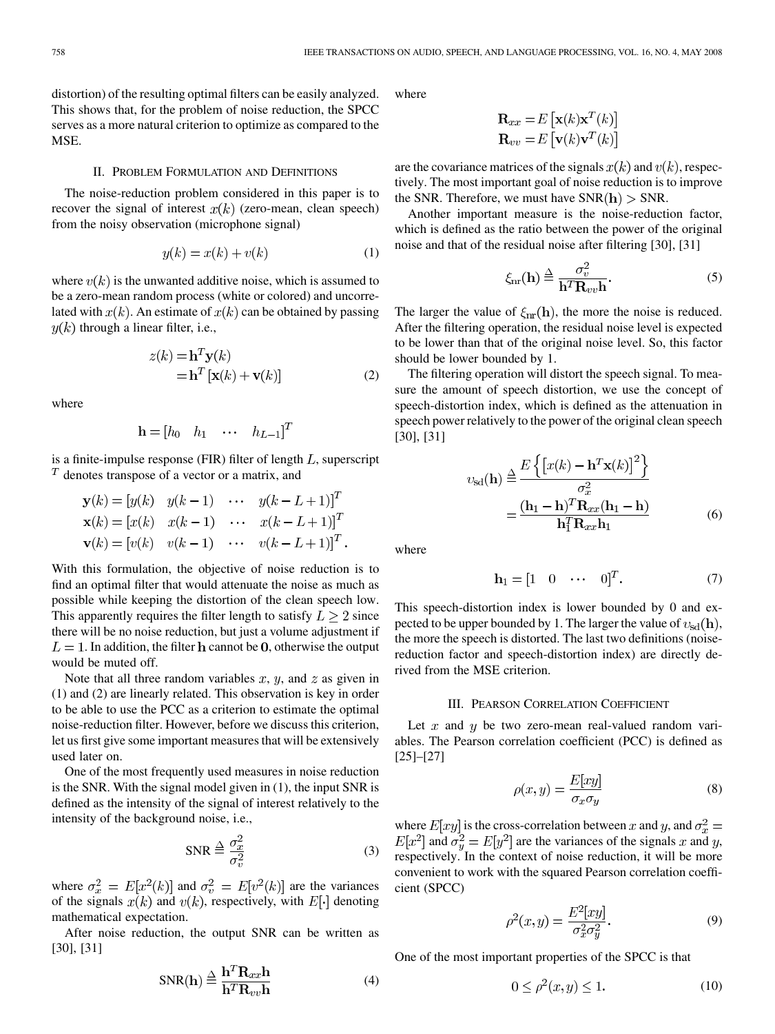distortion) of the resulting optimal filters can be easily analyzed. This shows that, for the problem of noise reduction, the SPCC serves as a more natural criterion to optimize as compared to the MSE.

# II. PROBLEM FORMULATION AND DEFINITIONS

The noise-reduction problem considered in this paper is to recover the signal of interest  $x(k)$  (zero-mean, clean speech) from the noisy observation (microphone signal)

$$
y(k) = x(k) + v(k) \tag{1}
$$

where  $v(k)$  is the unwanted additive noise, which is assumed to be a zero-mean random process (white or colored) and uncorrelated with  $x(k)$ . An estimate of  $x(k)$  can be obtained by passing  $y(k)$  through a linear filter, i.e.,

$$
z(k) = \mathbf{h}^{T} \mathbf{y}(k)
$$
  
=  $\mathbf{h}^{T} [\mathbf{x}(k) + \mathbf{v}(k)]$  (2)

where

$$
\mathbf{h} = \begin{bmatrix} h_0 & h_1 & \cdots & h_{L-1} \end{bmatrix}^T
$$

is a finite-impulse response (FIR) filter of length  $L$ , superscript  $T$  denotes transpose of a vector or a matrix, and

$$
\mathbf{y}(k) = [y(k) \quad y(k-1) \quad \cdots \quad y(k-L+1)]^T
$$

$$
\mathbf{x}(k) = [x(k) \quad x(k-1) \quad \cdots \quad x(k-L+1)]^T
$$

$$
\mathbf{v}(k) = [v(k) \quad v(k-1) \quad \cdots \quad v(k-L+1)]^T.
$$

With this formulation, the objective of noise reduction is to find an optimal filter that would attenuate the noise as much as possible while keeping the distortion of the clean speech low. This apparently requires the filter length to satisfy  $L \geq 2$  since there will be no noise reduction, but just a volume adjustment if  $L = 1$ . In addition, the filter h cannot be 0, otherwise the output would be muted off.

Note that all three random variables  $x, y$ , and  $z$  as given in (1) and (2) are linearly related. This observation is key in order to be able to use the PCC as a criterion to estimate the optimal noise-reduction filter. However, before we discuss this criterion, let us first give some important measures that will be extensively used later on.

One of the most frequently used measures in noise reduction is the SNR. With the signal model given in (1), the input SNR is defined as the intensity of the signal of interest relatively to the intensity of the background noise, i.e.,

$$
SNR \stackrel{\Delta}{=} \frac{\sigma_x^2}{\sigma_v^2} \tag{3}
$$

where  $\sigma_x^2 = E[x^2(k)]$  and  $\sigma_v^2 = E[v^2(k)]$  are the variances of the signals  $x(k)$  and  $v(k)$ , respectively, with  $E[\cdot]$  denoting mathematical expectation.

After noise reduction, the output SNR can be written as [30], [31]

$$
SNR(\mathbf{h}) \stackrel{\Delta}{=} \frac{\mathbf{h}^T \mathbf{R}_{xx} \mathbf{h}}{\mathbf{h}^T \mathbf{R}_{vv} \mathbf{h}} \tag{4}
$$

where

$$
\mathbf{R}_{xx} = E\left[\mathbf{x}(k)\mathbf{x}^T(k)\right]
$$

$$
\mathbf{R}_{vv} = E\left[\mathbf{v}(k)\mathbf{v}^T(k)\right]
$$

are the covariance matrices of the signals  $x(k)$  and  $v(k)$ , respectively. The most important goal of noise reduction is to improve the SNR. Therefore, we must have  $SNR(h) > SNR$ .

Another important measure is the noise-reduction factor, which is defined as the ratio between the power of the original noise and that of the residual noise after filtering [30], [31]

$$
\xi_{\rm nr}(\mathbf{h}) \stackrel{\Delta}{=} \frac{\sigma_v^2}{\mathbf{h}^T \mathbf{R}_{vv} \mathbf{h}}.\tag{5}
$$

The larger the value of  $\xi_{\rm nr}({\bf h})$ , the more the noise is reduced. After the filtering operation, the residual noise level is expected to be lower than that of the original noise level. So, this factor should be lower bounded by 1.

The filtering operation will distort the speech signal. To measure the amount of speech distortion, we use the concept of speech-distortion index, which is defined as the attenuation in speech power relatively to the power of the original clean speech [30], [31]

$$
v_{sd}(\mathbf{h}) \stackrel{\Delta}{=} \frac{E\left\{ \left[ x(k) - \mathbf{h}^T \mathbf{x}(k) \right]^2 \right\}}{\sigma_x^2}
$$

$$
= \frac{(\mathbf{h}_1 - \mathbf{h})^T \mathbf{R}_{xx} (\mathbf{h}_1 - \mathbf{h})}{\mathbf{h}_1^T \mathbf{R}_{xx} \mathbf{h}_1}
$$
(6)

where

$$
\mathbf{h}_1 = \begin{bmatrix} 1 & 0 & \cdots & 0 \end{bmatrix}^T. \tag{7}
$$

This speech-distortion index is lower bounded by 0 and expected to be upper bounded by 1. The larger the value of  $v_{sd}(\mathbf{h})$ , the more the speech is distorted. The last two definitions (noisereduction factor and speech-distortion index) are directly derived from the MSE criterion.

#### III. PEARSON CORRELATION COEFFICIENT

Let  $x$  and  $y$  be two zero-mean real-valued random variables. The Pearson correlation coefficient (PCC) is defined as [25]–[27]

$$
\rho(x,y) = \frac{E[xy]}{\sigma_x \sigma_y} \tag{8}
$$

where  $E[xy]$  is the cross-correlation between x and y, and  $\sigma_x^2 =$  $E[x^2]$  and  $\sigma_y^2 = E[y^2]$  are the variances of the signals x and y, respectively. In the context of noise reduction, it will be more convenient to work with the squared Pearson correlation coefficient (SPCC)

$$
\rho^2(x,y) = \frac{E^2[xy]}{\sigma_x^2 \sigma_y^2}.\tag{9}
$$

One of the most important properties of the SPCC is that

$$
0 \le \rho^2(x, y) \le 1. \tag{10}
$$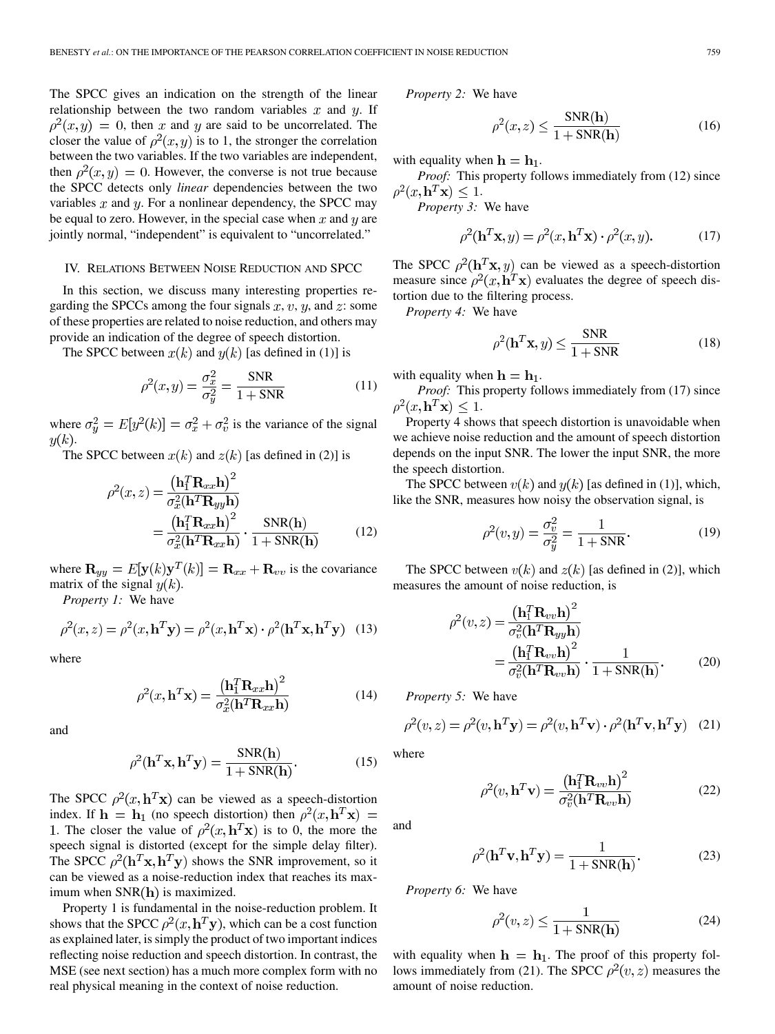The SPCC gives an indication on the strength of the linear relationship between the two random variables x and  $y$ . If  $\rho^2(x, y) = 0$ , then x and y are said to be uncorrelated. The closer the value of  $\rho^2(x, y)$  is to 1, the stronger the correlation between the two variables. If the two variables are independent, then  $\rho^2(x, y) = 0$ . However, the converse is not true because the SPCC detects only *linear* dependencies between the two variables  $x$  and  $y$ . For a nonlinear dependency, the SPCC may be equal to zero. However, in the special case when  $x$  and  $y$  are jointly normal, "independent" is equivalent to "uncorrelated."

#### IV. RELATIONS BETWEEN NOISE REDUCTION AND SPCC

In this section, we discuss many interesting properties regarding the SPCCs among the four signals  $x, v, y$ , and  $z$ : some of these properties are related to noise reduction, and others may provide an indication of the degree of speech distortion.

The SPCC between  $x(k)$  and  $y(k)$  [as defined in (1)] is

$$
\rho^2(x, y) = \frac{\sigma_x^2}{\sigma_y^2} = \frac{\text{SNR}}{1 + \text{SNR}}\tag{11}
$$

where  $\sigma_y^2 = E[y^2(k)] = \sigma_x^2 + \sigma_v^2$  is the variance of the signal  $y(k)$ .

The SPCC between  $x(k)$  and  $z(k)$  [as defined in (2)] is

$$
\rho^{2}(x, z) = \frac{(\mathbf{h}_{1}^{T} \mathbf{R}_{xx} \mathbf{h})^{2}}{\sigma_{x}^{2}(\mathbf{h}^{T} \mathbf{R}_{yy} \mathbf{h})}
$$

$$
= \frac{(\mathbf{h}_{1}^{T} \mathbf{R}_{xx} \mathbf{h})^{2}}{\sigma_{x}^{2}(\mathbf{h}^{T} \mathbf{R}_{xx} \mathbf{h})} \cdot \frac{\text{SNR}(\mathbf{h})}{1 + \text{SNR}(\mathbf{h})}
$$
(12)

where  $\mathbf{R}_{yy} = E[\mathbf{y}(k)\mathbf{y}^T(k)] = \mathbf{R}_{xx} + \mathbf{R}_{vv}$  is the covariance matrix of the signal  $y(k)$ .

*Property 1:* We have

$$
\rho^2(x, z) = \rho^2(x, \mathbf{h}^T \mathbf{y}) = \rho^2(x, \mathbf{h}^T \mathbf{x}) \cdot \rho^2(\mathbf{h}^T \mathbf{x}, \mathbf{h}^T \mathbf{y}) \tag{13}
$$

where

$$
\rho^2(x, \mathbf{h}^T \mathbf{x}) = \frac{(\mathbf{h}_1^T \mathbf{R}_{xx} \mathbf{h})^2}{\sigma_x^2 (\mathbf{h}^T \mathbf{R}_{xx} \mathbf{h})}
$$
(14)

and

$$
\rho^2(\mathbf{h}^T \mathbf{x}, \mathbf{h}^T \mathbf{y}) = \frac{\text{SNR}(\mathbf{h})}{1 + \text{SNR}(\mathbf{h})}.
$$
 (15)

The SPCC  $\rho^2(x, h^T x)$  can be viewed as a speech-distortion index. If  $h = h_1$  (no speech distortion) then  $\rho^2(x, h^T x) =$ 1. The closer the value of  $\rho^2(x, \mathbf{h}^T\mathbf{x})$  is to 0, the more the speech signal is distorted (except for the simple delay filter). The SPCC  $\rho^2(\mathbf{h}^T\mathbf{x}, \mathbf{h}^T\mathbf{y})$  shows the SNR improvement, so it can be viewed as a noise-reduction index that reaches its maximum when  $SNR(h)$  is maximized.

Property 1 is fundamental in the noise-reduction problem. It shows that the SPCC  $\rho^2(x, \mathbf{h}^T y)$ , which can be a cost function as explained later, is simply the product of two important indices reflecting noise reduction and speech distortion. In contrast, the MSE (see next section) has a much more complex form with no real physical meaning in the context of noise reduction.

*Property 2:* We have

$$
\rho^2(x, z) \le \frac{\text{SNR}(\mathbf{h})}{1 + \text{SNR}(\mathbf{h})} \tag{16}
$$

with equality when  $h = h_1$ .

*Proof:* This property follows immediately from (12) since  $\rho^2(x, \mathbf{h}^T \mathbf{x}) \leq 1.$ 

*Property 3:* We have

$$
\rho^2(\mathbf{h}^T \mathbf{x}, y) = \rho^2(x, \mathbf{h}^T \mathbf{x}) \cdot \rho^2(x, y). \tag{17}
$$

The SPCC  $\rho^2(h^T x, y)$  can be viewed as a speech-distortion measure since  $\rho^2(x, h^T x)$  evaluates the degree of speech distortion due to the filtering process.

*Property 4:* We have

$$
\rho^2(\mathbf{h}^T \mathbf{x}, y) \le \frac{\text{SNR}}{1 + \text{SNR}}\tag{18}
$$

with equality when  $h = h_1$ .

*Proof:* This property follows immediately from (17) since  $\rho^2(x, \mathbf{h}^T \mathbf{x}) \leq 1.$ 

Property 4 shows that speech distortion is unavoidable when we achieve noise reduction and the amount of speech distortion depends on the input SNR. The lower the input SNR, the more the speech distortion.

The SPCC between  $v(k)$  and  $y(k)$  [as defined in (1)], which, like the SNR, measures how noisy the observation signal, is

$$
\rho^{2}(v, y) = \frac{\sigma_{v}^{2}}{\sigma_{y}^{2}} = \frac{1}{1 + \text{SNR}}.
$$
\n(19)

The SPCC between  $v(k)$  and  $z(k)$  [as defined in (2)], which measures the amount of noise reduction, is

$$
\rho^{2}(v, z) = \frac{(\mathbf{h}_{1}^{T} \mathbf{R}_{vv} \mathbf{h})^{2}}{\sigma_{v}^{2}(\mathbf{h}^{T} \mathbf{R}_{yy} \mathbf{h})}
$$

$$
= \frac{(\mathbf{h}_{1}^{T} \mathbf{R}_{vv} \mathbf{h})^{2}}{\sigma_{v}^{2}(\mathbf{h}^{T} \mathbf{R}_{vv} \mathbf{h})} \cdot \frac{1}{1 + \text{SNR}(\mathbf{h})}. \tag{20}
$$

*Property 5:* We have

$$
\rho^2(v, z) = \rho^2(v, \mathbf{h}^T \mathbf{y}) = \rho^2(v, \mathbf{h}^T \mathbf{v}) \cdot \rho^2(\mathbf{h}^T \mathbf{v}, \mathbf{h}^T \mathbf{y}) \tag{21}
$$

where

$$
\rho^2(v, \mathbf{h}^T \mathbf{v}) = \frac{(\mathbf{h}_1^T \mathbf{R}_{vv} \mathbf{h})^2}{\sigma_v^2 (\mathbf{h}^T \mathbf{R}_{vv} \mathbf{h})}
$$
(22)

and

$$
\rho^2(\mathbf{h}^T \mathbf{v}, \mathbf{h}^T \mathbf{y}) = \frac{1}{1 + \text{SNR}(\mathbf{h})}.
$$
 (23)

*Property 6:* We have

$$
\rho^2(v, z) \le \frac{1}{1 + \text{SNR(h)}}\tag{24}
$$

with equality when  $h = h_1$ . The proof of this property follows immediately from (21). The SPCC  $\rho^2(v, z)$  measures the amount of noise reduction.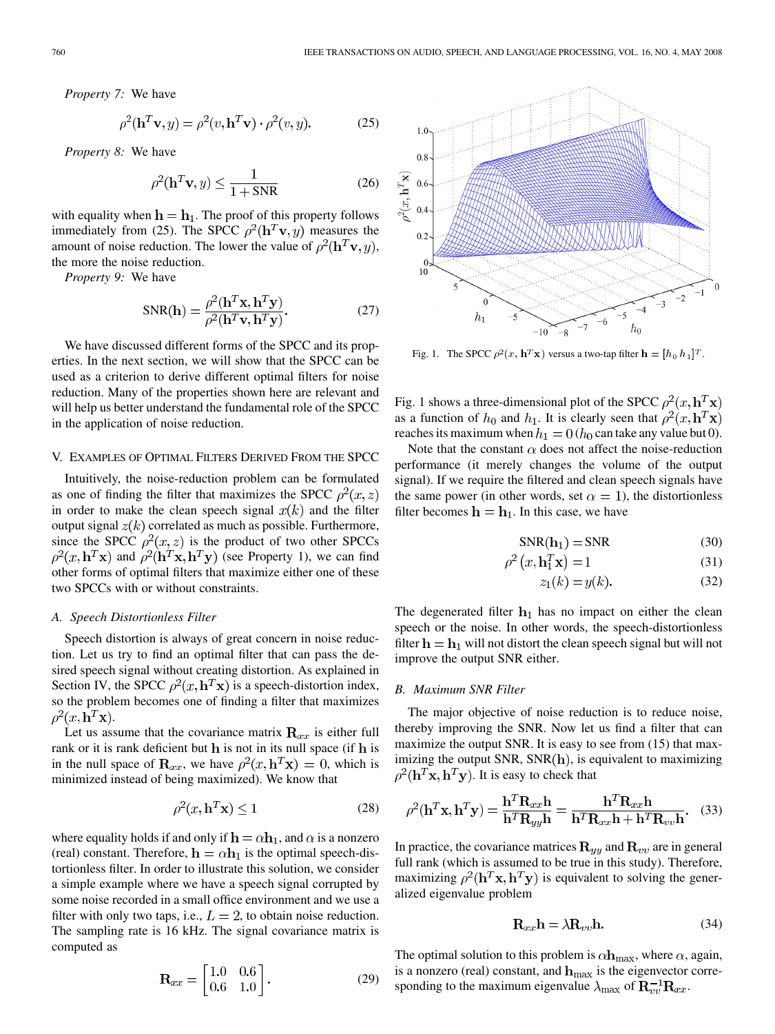*Property 7:* We have

$$
\rho^2(\mathbf{h}^T \mathbf{v}, y) = \rho^2(v, \mathbf{h}^T \mathbf{v}) \cdot \rho^2(v, y).
$$
 (25)

*Property 8:* We have

$$
\rho^2(\mathbf{h}^T \mathbf{v}, y) \le \frac{1}{1 + \text{SNR}}\tag{26}
$$

with equality when  $h = h_1$ . The proof of this property follows immediately from (25). The SPCC  $\rho^2(\mathbf{h}^T \mathbf{v}, y)$  measures the amount of noise reduction. The lower the value of  $\rho^2(\mathbf{h}^T \mathbf{v}, y)$ , the more the noise reduction.

*Property 9:* We have

$$
SNR(\mathbf{h}) = \frac{\rho^2(\mathbf{h}^T \mathbf{x}, \mathbf{h}^T \mathbf{y})}{\rho^2(\mathbf{h}^T \mathbf{v}, \mathbf{h}^T \mathbf{y})}.
$$
 (27)

We have discussed different forms of the SPCC and its properties. In the next section, we will show that the SPCC can be used as a criterion to derive different optimal filters for noise reduction. Many of the properties shown here are relevant and will help us better understand the fundamental role of the SPCC in the application of noise reduction.

#### V. EXAMPLES OF OPTIMAL FILTERS DERIVED FROM THE SPCC

Intuitively, the noise-reduction problem can be formulated as one of finding the filter that maximizes the SPCC  $\rho^2(x, z)$ in order to make the clean speech signal  $x(k)$  and the filter output signal  $z(k)$  correlated as much as possible. Furthermore, since the SPCC  $\rho^2(x, z)$  is the product of two other SPCCs  $\rho^2(x, \mathbf{h}^T\mathbf{x})$  and  $\rho^2(\mathbf{h}^T\mathbf{x}, \mathbf{h}^T\mathbf{y})$  (see Property 1), we can find other forms of optimal filters that maximize either one of these two SPCCs with or without constraints.

### *A. Speech Distortionless Filter*

Speech distortion is always of great concern in noise reduction. Let us try to find an optimal filter that can pass the desired speech signal without creating distortion. As explained in Section IV, the SPCC  $\rho^2(x, h^T x)$  is a speech-distortion index, so the problem becomes one of finding a filter that maximizes  $\rho^2(x, \mathbf{h}^T\mathbf{x}).$ 

Let us assume that the covariance matrix  $\mathbf{R}_{xx}$  is either full rank or it is rank deficient but  $h$  is not in its null space (if  $h$  is in the null space of  $\mathbf{R}_{xx}$ , we have  $\rho^2(x, \mathbf{h}^T \mathbf{x}) = 0$ , which is minimized instead of being maximized). We know that

$$
\rho^2(x, \mathbf{h}^T \mathbf{x}) \le 1\tag{28}
$$

where equality holds if and only if  $h = \alpha h_1$ , and  $\alpha$  is a nonzero (real) constant. Therefore,  $h = \alpha h_1$  is the optimal speech-distortionless filter. In order to illustrate this solution, we consider a simple example where we have a speech signal corrupted by some noise recorded in a small office environment and we use a filter with only two taps, i.e.,  $L = 2$ , to obtain noise reduction. The sampling rate is 16 kHz. The signal covariance matrix is computed as

$$
\mathbf{R}_{xx} = \begin{bmatrix} 1.0 & 0.6 \\ 0.6 & 1.0 \end{bmatrix} . \tag{29}
$$



Fig. 1. The SPCC  $\rho^2(x, \mathbf{h}^T\mathbf{x})$  versus a two-tap filter  $\mathbf{h} = [h_0 \; h_1]^T$ .

Fig. 1 shows a three-dimensional plot of the SPCC  $\rho^2(x, h^T x)$ as a function of  $h_0$  and  $h_1$ . It is clearly seen that  $\rho^2(x, \mathbf{h}^T\mathbf{x})$ reaches its maximum when  $h_1 = 0$  ( $h_0$  can take any value but 0).

Note that the constant  $\alpha$  does not affect the noise-reduction performance (it merely changes the volume of the output signal). If we require the filtered and clean speech signals have the same power (in other words, set  $\alpha = 1$ ), the distortionless filter becomes  $h = h_1$ . In this case, we have

$$
SNR(\mathbf{h}_1) = SNR \tag{30}
$$

$$
\rho^2(x, \mathbf{h}_1^T \mathbf{x}) = 1\tag{31}
$$

$$
z_1(k) = y(k). \tag{32}
$$

The degenerated filter  $h_1$  has no impact on either the clean speech or the noise. In other words, the speech-distortionless filter  $h = h_1$  will not distort the clean speech signal but will not improve the output SNR either.

#### *B. Maximum SNR Filter*

The major objective of noise reduction is to reduce noise, thereby improving the SNR. Now let us find a filter that can maximize the output SNR. It is easy to see from  $(15)$  that maximizing the output SNR,  $SNR(h)$ , is equivalent to maximizing  $\rho^2(h^T\mathbf{x}, h^T\mathbf{y})$ . It is easy to check that

$$
\rho^2(\mathbf{h}^T \mathbf{x}, \mathbf{h}^T \mathbf{y}) = \frac{\mathbf{h}^T \mathbf{R}_{xx} \mathbf{h}}{\mathbf{h}^T \mathbf{R}_{yy} \mathbf{h}} = \frac{\mathbf{h}^T \mathbf{R}_{xx} \mathbf{h}}{\mathbf{h}^T \mathbf{R}_{xx} \mathbf{h} + \mathbf{h}^T \mathbf{R}_{vv} \mathbf{h}}.
$$
 (33)

In practice, the covariance matrices  $\mathbf{R}_{yy}$  and  $\mathbf{R}_{vv}$  are in general full rank (which is assumed to be true in this study). Therefore, maximizing  $\rho^2(\mathbf{h}^T \mathbf{x}, \mathbf{h}^T \mathbf{y})$  is equivalent to solving the generalized eigenvalue problem

$$
\mathbf{R}_{xx}\mathbf{h} = \lambda \mathbf{R}_{vv}\mathbf{h}.\tag{34}
$$

The optimal solution to this problem is  $\alpha \mathbf{h}_{\text{max}}$ , where  $\alpha$ , again, is a nonzero (real) constant, and  $h_{\text{max}}$  is the eigenvector corresponding to the maximum eigenvalue  $\lambda_{\text{max}}$  of  $\mathbf{R}_{vv}^{-1} \mathbf{R}_{xx}$ .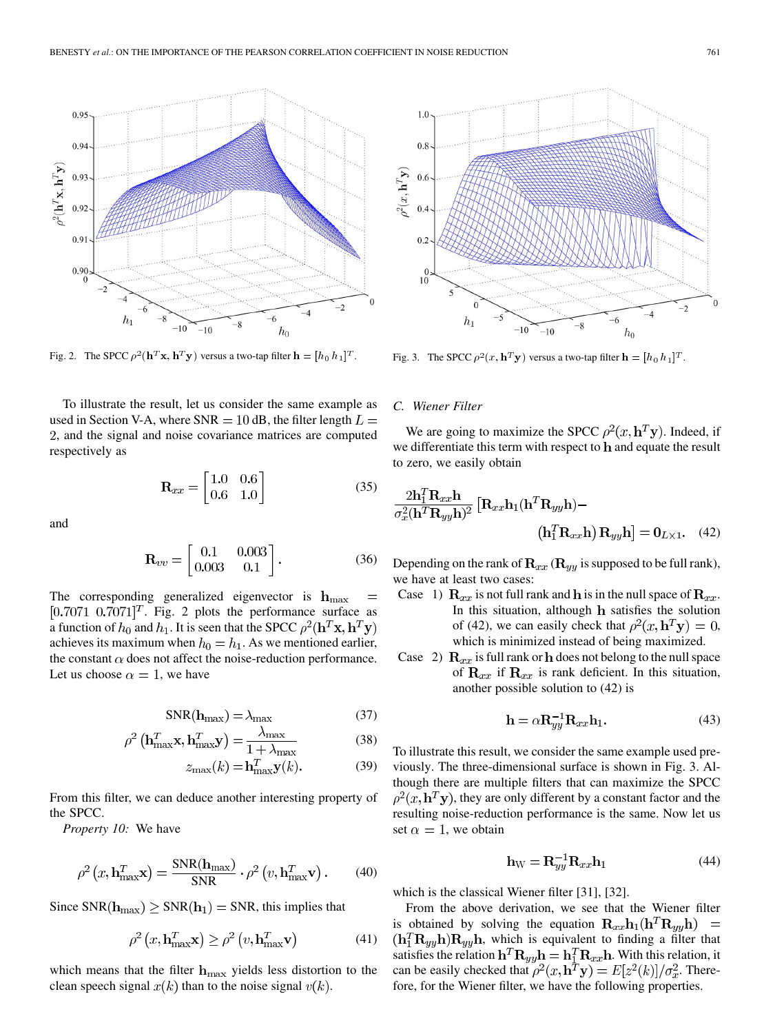

Fig. 2. The SPCC  $\rho^2(\mathbf{h}^T\mathbf{x}, \mathbf{h}^T\mathbf{y})$  versus a two-tap filter  $\mathbf{h} = [h_0 \; h_1]^T$ .

To illustrate the result, let us consider the same example as used in Section V-A, where SNR  $= 10$  dB, the filter length  $L =$ , and the signal and noise covariance matrices are computed respectively as

$$
\mathbf{R}_{xx} = \begin{bmatrix} 1.0 & 0.6 \\ 0.6 & 1.0 \end{bmatrix} \tag{35}
$$

and

$$
\mathbf{R}_{vv} = \begin{bmatrix} 0.1 & 0.003 \\ 0.003 & 0.1 \end{bmatrix} . \tag{36}
$$

The corresponding generalized eigenvector is  $h_{\text{max}}$  $[0.7071 \ 0.7071]^T$ . Fig. 2 plots the performance surface as a function of  $h_0$  and  $h_1$ . It is seen that the SPCC  $\rho^2(\mathbf{h}^T\mathbf{x}, \mathbf{h}^T\mathbf{y})$ achieves its maximum when  $h_0 = h_1$ . As we mentioned earlier, the constant  $\alpha$  does not affect the noise-reduction performance. Let us choose  $\alpha = 1$ , we have

$$
SNR(\mathbf{h}_{\text{max}}) = \lambda_{\text{max}} \tag{37}
$$

$$
\rho^2 \left( \mathbf{h}_{\text{max}}^T \mathbf{x}, \mathbf{h}_{\text{max}}^T \mathbf{y} \right) = \frac{\lambda_{\text{max}}}{1 + \lambda_{\text{max}}} \tag{38}
$$

$$
z_{\max}(k) = \mathbf{h}_{\max}^T \mathbf{y}(k). \tag{39}
$$

From this filter, we can deduce another interesting property of the SPCC.

*Property 10:* We have

$$
\rho^2(x, \mathbf{h}_{\text{max}}^T \mathbf{x}) = \frac{\text{SNR}(\mathbf{h}_{\text{max}})}{\text{SNR}} \cdot \rho^2(v, \mathbf{h}_{\text{max}}^T \mathbf{v}). \quad (40)
$$

Since  $SNR(h_{\text{max}}) \geq SNR(h_1) = SNR$ , this implies that

$$
\rho^2(x, \mathbf{h}_{\text{max}}^T \mathbf{x}) \ge \rho^2(v, \mathbf{h}_{\text{max}}^T \mathbf{v})
$$
\n(41)

which means that the filter  $h_{\text{max}}$  yields less distortion to the clean speech signal  $x(k)$  than to the noise signal  $v(k)$ .



Fig. 3. The SPCC  $\rho^2(x, \mathbf{h}^T \mathbf{y})$  versus a two-tap filter  $\mathbf{h} = [h_0 \; h_1]^T$ .

## *C. Wiener Filter*

We are going to maximize the SPCC  $\rho^2(x, \mathbf{h}^T y)$ . Indeed, if we differentiate this term with respect to h and equate the result to zero, we easily obtain

$$
\frac{2\mathbf{h}_1^T \mathbf{R}_{xx}\mathbf{h}}{\sigma_x^2 (\mathbf{h}^T \mathbf{R}_{yy}\mathbf{h})^2} \left[ \mathbf{R}_{xx}\mathbf{h}_1 (\mathbf{h}^T \mathbf{R}_{yy}\mathbf{h}) - ( \mathbf{h}_1^T \mathbf{R}_{xx}\mathbf{h}) \mathbf{R}_{yy}\mathbf{h} \right] = \mathbf{0}_{L \times 1}.
$$
 (42)

Depending on the rank of  ${\bf R}_{xx}$  ( ${\bf R}_{yy}$  is supposed to be full rank), we have at least two cases:

- Case 1)  $\mathbf{R}_{xx}$  is not full rank and h is in the null space of  $\mathbf{R}_{xx}$ . In this situation, although h satisfies the solution of (42), we can easily check that  $\rho^2(x, \mathbf{h}^T \mathbf{y}) = 0$ , which is minimized instead of being maximized.
- Case 2)  $\mathbf{R}_{xx}$  is full rank or h does not belong to the null space of  $\mathbf{R}_{xx}$  if  $\mathbf{R}_{xx}$  is rank deficient. In this situation, another possible solution to (42) is

$$
\mathbf{h} = \alpha \mathbf{R}_{yy}^{-1} \mathbf{R}_{xx} \mathbf{h}_1.
$$
 (43)

To illustrate this result, we consider the same example used previously. The three-dimensional surface is shown in Fig. 3. Although there are multiple filters that can maximize the SPCC  $\rho^2(x, h^T y)$ , they are only different by a constant factor and the resulting noise-reduction performance is the same. Now let us set  $\alpha = 1$ , we obtain

$$
\mathbf{h}_{\mathrm{W}} = \mathbf{R}_{yy}^{-1} \mathbf{R}_{xx} \mathbf{h}_{1} \tag{44}
$$

which is the classical Wiener filter [31], [32].

From the above derivation, we see that the Wiener filter is obtained by solving the equation  $\mathbf{R}_{xx} \mathbf{h}_1 (\mathbf{h}^T \mathbf{R}_{yy} \mathbf{h}) =$  $(h_1^T \mathbf{R}_{qu} \mathbf{h}) \mathbf{R}_{qu} \mathbf{h}$ , which is equivalent to finding a filter that satisfies the relation  $\mathbf{h}^T \mathbf{R}_{uu} \mathbf{h} = \mathbf{h}_1^T \mathbf{R}_{xx} \mathbf{h}$ . With this relation, it can be easily checked that  $\rho^2(x, \mathbf{h}^T \mathbf{y}) = E[z^2(k)]/\sigma_x^2$ . Therefore, for the Wiener filter, we have the following properties.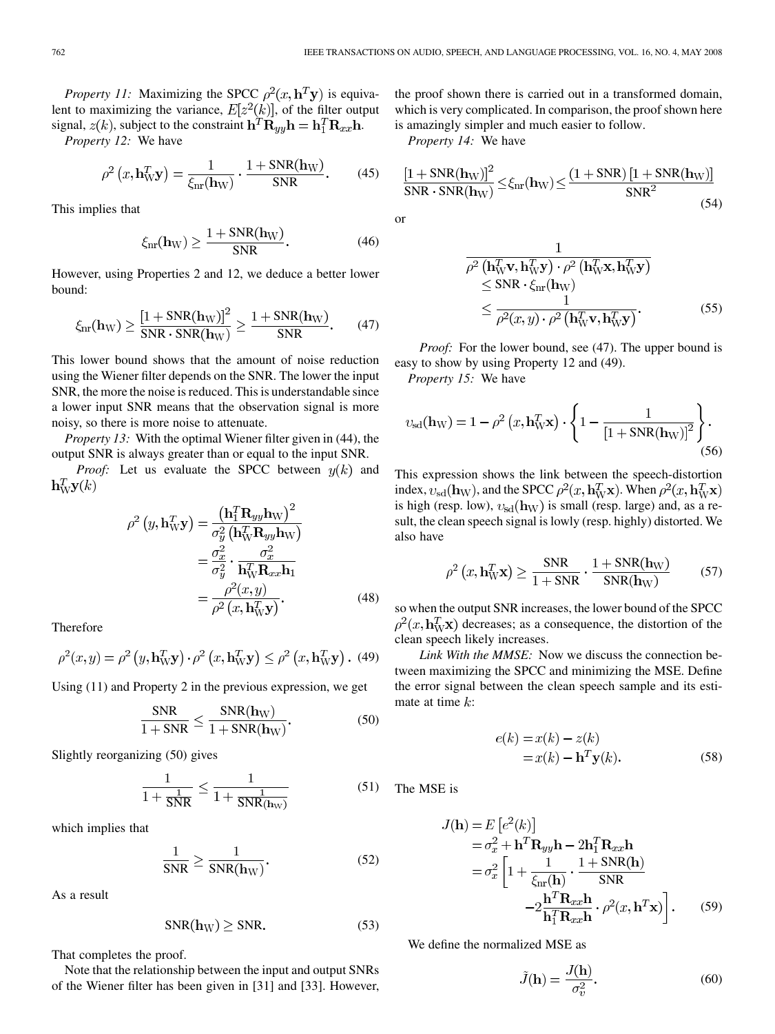*Property 11:* Maximizing the SPCC  $\rho^2(x, \mathbf{h}^T \mathbf{y})$  is equivalent to maximizing the variance,  $E[z^2(k)]$ , of the filter output signal,  $z(k)$ , subject to the constraint  $\mathbf{h}^T \mathbf{R}_{yy} \mathbf{h} = \mathbf{h}_1^T \mathbf{R}_{xx} \mathbf{h}$ .

*Property 12:* We have

$$
\rho^2(x, \mathbf{h}_{\rm W}^T \mathbf{y}) = \frac{1}{\xi_{\rm nr}(\mathbf{h}_{\rm W})} \cdot \frac{1 + \text{SNR}(\mathbf{h}_{\rm W})}{\text{SNR}}.\tag{45}
$$

This implies that

$$
\xi_{\rm nr}(\mathbf{h}_{\rm W}) \ge \frac{1 + \text{SNR}(\mathbf{h}_{\rm W})}{\text{SNR}}.\tag{46}
$$

However, using Properties 2 and 12, we deduce a better lower bound:

$$
\xi_{\rm nr}(\mathbf{h}_{\rm W}) \ge \frac{[1 + \text{SNR}(\mathbf{h}_{\rm W})]^2}{\text{SNR} \cdot \text{SNR}(\mathbf{h}_{\rm W})} \ge \frac{1 + \text{SNR}(\mathbf{h}_{\rm W})}{\text{SNR}}.\tag{47}
$$

This lower bound shows that the amount of noise reduction using the Wiener filter depends on the SNR. The lower the input SNR, the more the noise is reduced. This is understandable since a lower input SNR means that the observation signal is more noisy, so there is more noise to attenuate.

*Property 13:* With the optimal Wiener filter given in (44), the output SNR is always greater than or equal to the input SNR.

*Proof:* Let us evaluate the SPCC between  $y(k)$  and  $\mathbf{h}_{\mathrm{W}}^T \mathbf{y}(k)$ 

$$
\rho^2(y, \mathbf{h}_{\mathrm{W}}^T \mathbf{y}) = \frac{(\mathbf{h}_1^T \mathbf{R}_{yy} \mathbf{h}_{\mathrm{W}})^2}{\sigma_y^2(\mathbf{h}_{\mathrm{W}}^T \mathbf{R}_{yy} \mathbf{h}_{\mathrm{W}})}
$$
  
=  $\frac{\sigma_x^2}{\sigma_y^2} \cdot \frac{\sigma_x^2}{\mathbf{h}_{\mathrm{W}}^T \mathbf{R}_{xx} \mathbf{h}_1}$   
=  $\frac{\rho^2(x, y)}{\rho^2(x, \mathbf{h}_{\mathrm{W}}^T \mathbf{y})}$ . (48)

Therefore

$$
\rho^2(x, y) = \rho^2 \left( y, \mathbf{h}_{\mathbf{W}}^T \mathbf{y} \right) \cdot \rho^2 \left( x, \mathbf{h}_{\mathbf{W}}^T \mathbf{y} \right) \le \rho^2 \left( x, \mathbf{h}_{\mathbf{W}}^T \mathbf{y} \right). \tag{49}
$$

Using (11) and Property 2 in the previous expression, we get

$$
\frac{\text{SNR}}{1 + \text{SNR}} \le \frac{\text{SNR}(h_{\text{W}})}{1 + \text{SNR}(h_{\text{W}})}.
$$
 (50)

Slightly reorganizing (50) gives

$$
\frac{1}{1 + \frac{1}{SNR}} \le \frac{1}{1 + \frac{1}{SNR(h_W)}}
$$
(51)

which implies that

$$
\frac{1}{\text{SNR}} \ge \frac{1}{\text{SNR(h_W)}}.\tag{52}
$$

As a result

$$
SNR(h_W) \geq SNR. \tag{53}
$$

That completes the proof.

Note that the relationship between the input and output SNRs of the Wiener filter has been given in [31] and [33]. However, the proof shown there is carried out in a transformed domain, which is very complicated. In comparison, the proof shown here is amazingly simpler and much easier to follow.

*Property 14:* We have

$$
\frac{\left[1+SNR(\mathbf{h}_{\mathrm{W}})\right]^{2}}{SNR \cdot SNR(\mathbf{h}_{\mathrm{W}})} \leq \xi_{\mathrm{nr}}(\mathbf{h}_{\mathrm{W}}) \leq \frac{\left(1+SNR\right)\left[1+SNR(\mathbf{h}_{\mathrm{W}})\right]}{SNR^{2}}
$$
\n(54)

or

$$
\frac{1}{\rho^2 \left(\mathbf{h}_{\mathrm{W}}^T \mathbf{v}, \mathbf{h}_{\mathrm{W}}^T \mathbf{y}\right) \cdot \rho^2 \left(\mathbf{h}_{\mathrm{W}}^T \mathbf{x}, \mathbf{h}_{\mathrm{W}}^T \mathbf{y}\right)} \le \mathrm{SNR} \cdot \xi_{\mathrm{nr}}(\mathbf{h}_{\mathrm{W}}) \le \frac{1}{\rho^2(x, y) \cdot \rho^2 \left(\mathbf{h}_{\mathrm{W}}^T \mathbf{v}, \mathbf{h}_{\mathrm{W}}^T \mathbf{y}\right)}.
$$
\n(55)

*Proof:* For the lower bound, see (47). The upper bound is easy to show by using Property 12 and (49).

*Property 15:* We have

$$
v_{\rm sd}(\mathbf{h}_{\rm W}) = 1 - \rho^2 \left( x, \mathbf{h}_{\rm W}^T \mathbf{x} \right) \cdot \left\{ 1 - \frac{1}{\left[ 1 + \text{SNR}(\mathbf{h}_{\rm W}) \right]^2} \right\}.
$$
\n(56)

This expression shows the link between the speech-distortion index,  $v_{sd}$ ( $\mathbf{h}_{W}$ ), and the SPCC  $\rho^2(x, \mathbf{h}_{W}^{T}\mathbf{x})$ . When  $\rho^2(x, \mathbf{h}_{W}^{T}\mathbf{x})$ is high (resp. low),  $v_{sd}$ ( $h_{W}$ ) is small (resp. large) and, as a result, the clean speech signal is lowly (resp. highly) distorted. We also have

$$
\rho^2(x, \mathbf{h}_{\mathrm{W}}^T \mathbf{x}) \ge \frac{\mathrm{SNR}}{1 + \mathrm{SNR}} \cdot \frac{1 + \mathrm{SNR}(\mathbf{h}_{\mathrm{W}})}{\mathrm{SNR}(\mathbf{h}_{\mathrm{W}})} \tag{57}
$$

so when the output SNR increases, the lower bound of the SPCC  $\rho^2(x, \mathbf{h}_{\rm W}^T\mathbf{x})$  decreases; as a consequence, the distortion of the clean speech likely increases.

*Link With the MMSE:* Now we discuss the connection between maximizing the SPCC and minimizing the MSE. Define the error signal between the clean speech sample and its estimate at time  $k$ :

$$
e(k) = x(k) - z(k)
$$
  
=  $x(k) - \mathbf{h}^T \mathbf{y}(k)$ . (58)

The MSE is

$$
J(\mathbf{h}) = E\left[e^{2}(k)\right]
$$
  
\n
$$
= \sigma_{x}^{2} + \mathbf{h}^{T} \mathbf{R}_{yy} \mathbf{h} - 2\mathbf{h}_{1}^{T} \mathbf{R}_{xx} \mathbf{h}
$$
  
\n
$$
= \sigma_{x}^{2} \left[1 + \frac{1}{\xi_{\text{nr}}(\mathbf{h})} \cdot \frac{1 + \text{SNR}(\mathbf{h})}{\text{SNR}} - 2\frac{\mathbf{h}^{T} \mathbf{R}_{xx} \mathbf{h}}{\mathbf{h}_{1}^{T} \mathbf{R}_{xx} \mathbf{h}} \cdot \rho^{2}(x, \mathbf{h}^{T} \mathbf{x})\right].
$$
 (59)

We define the normalized MSE as

j.

$$
\tilde{J}(\mathbf{h}) = \frac{J(\mathbf{h})}{\sigma_v^2}.
$$
\n(60)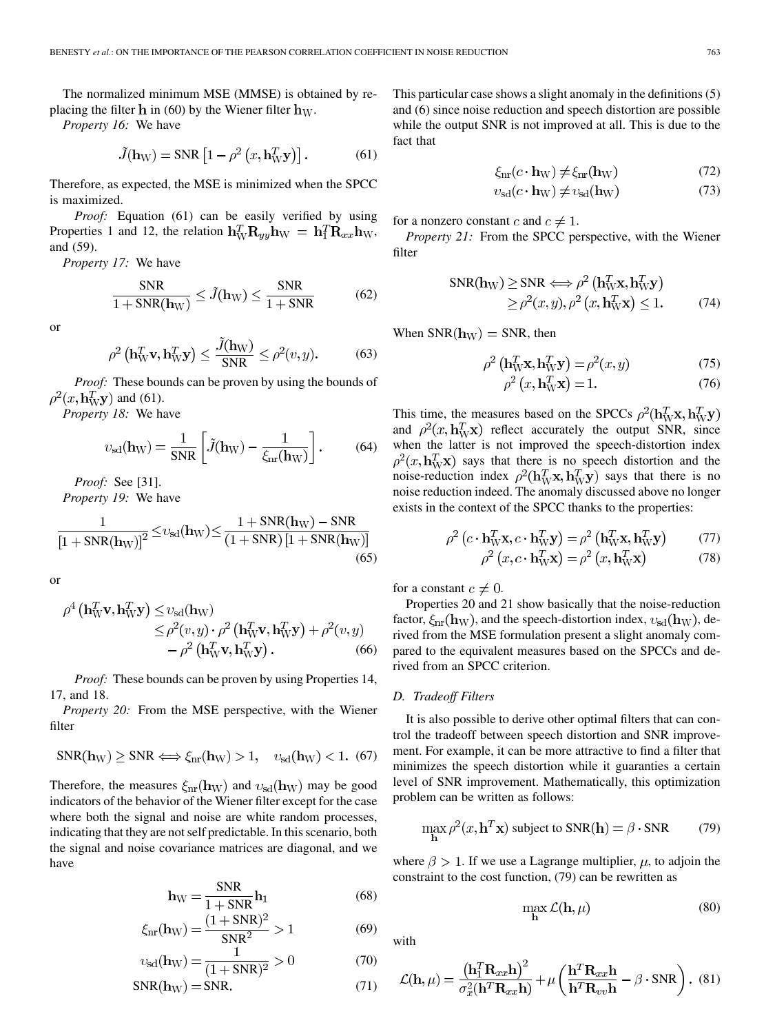The normalized minimum MSE (MMSE) is obtained by replacing the filter h in (60) by the Wiener filter  $h_W$ .

*Property 16:* We have

$$
\tilde{J}(\mathbf{h}_{\mathrm{W}}) = \mathrm{SNR} \left[ 1 - \rho^2 \left( x, \mathbf{h}_{\mathrm{W}}^T \mathbf{y} \right) \right]. \tag{61}
$$

Therefore, as expected, the MSE is minimized when the SPCC is maximized.

*Proof:* Equation (61) can be easily verified by using Properties 1 and 12, the relation  $h_W^T R_{yy} h_W = h_1^T R_{xx} h_W$ , and (59).

*Property 17:* We have

$$
\frac{\text{SNR}}{1 + \text{SNR}(\mathbf{h}_{\text{W}})} \le \tilde{J}(\mathbf{h}_{\text{W}}) \le \frac{\text{SNR}}{1 + \text{SNR}} \tag{62}
$$

or

$$
\rho^2 \left( \mathbf{h}_{\mathrm{W}}^T \mathbf{v}, \mathbf{h}_{\mathrm{W}}^T \mathbf{y} \right) \le \frac{J(\mathbf{h}_{\mathrm{W}})}{\mathrm{SNR}} \le \rho^2(v, y). \tag{63}
$$

*Proof:* These bounds can be proven by using the bounds of  $\rho^2(x, \mathbf{h}_W^T y)$  and (61).

*Property 18:* We have

$$
v_{\rm sd}(\mathbf{h}_{\rm W}) = \frac{1}{\rm SNR} \left[ \tilde{J}(\mathbf{h}_{\rm W}) - \frac{1}{\xi_{\rm nr}(\mathbf{h}_{\rm W})} \right]. \tag{64}
$$

*Proof:* See [31].

*Property 19:* We have

$$
\frac{1}{\left[1 + \text{SNR}(\mathbf{h}_{\mathrm{W}})\right]^2} \le v_{\mathrm{sd}}(\mathbf{h}_{\mathrm{W}}) \le \frac{1 + \text{SNR}(\mathbf{h}_{\mathrm{W}}) - \text{SNR}}{(1 + \text{SNR})\left[1 + \text{SNR}(\mathbf{h}_{\mathrm{W}})\right]}
$$
(65)

or

$$
\rho^4 \left( \mathbf{h}_{\mathbf{W}}^T \mathbf{v}, \mathbf{h}_{\mathbf{W}}^T \mathbf{y} \right) \leq v_{\mathbf{sd}}(\mathbf{h}_{\mathbf{W}}) \n\leq \rho^2(v, y) \cdot \rho^2 \left( \mathbf{h}_{\mathbf{W}}^T \mathbf{v}, \mathbf{h}_{\mathbf{W}}^T \mathbf{y} \right) + \rho^2(v, y) \n- \rho^2 \left( \mathbf{h}_{\mathbf{W}}^T \mathbf{v}, \mathbf{h}_{\mathbf{W}}^T \mathbf{y} \right).
$$
\n(66)

*Proof:* These bounds can be proven by using Properties 14, 17, and 18.

*Property 20:* From the MSE perspective, with the Wiener filter

$$
SNR(\mathbf{h}_{\mathrm{W}}) \geq SNR \Longleftrightarrow \xi_{\mathrm{nr}}(\mathbf{h}_{\mathrm{W}}) > 1, \quad v_{\mathrm{sd}}(\mathbf{h}_{\mathrm{W}}) < 1. \tag{67}
$$

Therefore, the measures  $\xi_{\rm nr}({\bf h}_{\rm W})$  and  $v_{\rm sd}({\bf h}_{\rm W})$  may be good indicators of the behavior of the Wiener filter except for the case where both the signal and noise are white random processes, indicating that they are not self predictable. In this scenario, both the signal and noise covariance matrices are diagonal, and we have

$$
\mathbf{h}_{\rm W} = \frac{\rm SNR}{1 + \rm SNR} \mathbf{h}_1 \tag{68}
$$

$$
\xi_{\rm nr}(\mathbf{h}_{\rm W}) = \frac{(1 + \text{SNR})^2}{\text{SNR}^2} > 1
$$
 (69)

$$
v_{\rm sd}(\mathbf{h}_{\rm W}) = \frac{1}{(1 + \text{SNR})^2} > 0 \tag{70}
$$

$$
SNR(\mathbf{h}_{\mathrm{W}}) = SNR. \tag{71}
$$

This particular case shows a slight anomaly in the definitions (5) and (6) since noise reduction and speech distortion are possible while the output SNR is not improved at all. This is due to the fact that

$$
\xi_{\rm nr}(c \cdot \mathbf{h}_{\rm W}) \neq \xi_{\rm nr}(\mathbf{h}_{\rm W}) \tag{72}
$$

$$
v_{\rm sd}(c \cdot \mathbf{h}_{\rm W}) \neq v_{\rm sd}(\mathbf{h}_{\rm W})\tag{73}
$$

for a nonzero constant c and  $c \neq 1$ .

*Property 21:* From the SPCC perspective, with the Wiener filter

$$
SNR(\mathbf{h}_{\mathrm{W}}) \geq SNR \Longleftrightarrow \rho^2 \left( \mathbf{h}_{\mathrm{W}}^T \mathbf{x}, \mathbf{h}_{\mathrm{W}}^T \mathbf{y} \right) \geq \rho^2(x, y), \rho^2 \left( x, \mathbf{h}_{\mathrm{W}}^T \mathbf{x} \right) \leq 1.
$$
 (74)

When  $SNR(h_W) = SNR$ , then

 $\overline{1}$ 

$$
\rho^2 \left( \mathbf{h}_{\mathbf{W}}^T \mathbf{x}, \mathbf{h}_{\mathbf{W}}^T \mathbf{y} \right) = \rho^2(x, y) \tag{75}
$$

$$
\rho^2(x, \mathbf{h}_{\mathbf{W}}^T \mathbf{x}) = 1. \tag{76}
$$

This time, the measures based on the SPCCs  $\rho^2(\mathbf{h}_{\mathrm{W}}^T \mathbf{x}, \mathbf{h}_{\mathrm{W}}^T \mathbf{y})$ and  $\rho^2(x, \mathbf{h}_{\mathrm{W}}^T \mathbf{x})$  reflect accurately the output SNR, since when the latter is not improved the speech-distortion index  $\rho^2(x, \mathbf{h}_{\mathbf{W}}^T \mathbf{x})$  says that there is no speech distortion and the noise-reduction index  $\rho^2(h_{\rm W}^T \mathbf{x}, h_{\rm W}^T \mathbf{y})$  says that there is no noise reduction indeed. The anomaly discussed above no longer exists in the context of the SPCC thanks to the properties:

$$
\rho^2 \left( c \cdot \mathbf{h}_{\mathbf{W}}^T \mathbf{x}, c \cdot \mathbf{h}_{\mathbf{W}}^T \mathbf{y} \right) = \rho^2 \left( \mathbf{h}_{\mathbf{W}}^T \mathbf{x}, \mathbf{h}_{\mathbf{W}}^T \mathbf{y} \right) \tag{77}
$$

$$
\rho^2 \left( x, c \cdot \mathbf{h}_{\mathbf{W}}^T \mathbf{x} \right) = \rho^2 \left( x, \mathbf{h}_{\mathbf{W}}^T \mathbf{x} \right) \tag{78}
$$

for a constant  $c \neq 0$ .

Properties 20 and 21 show basically that the noise-reduction factor,  $\xi_{\rm nr}({\bf h}_{\rm W})$ , and the speech-distortion index,  $v_{\rm sd}({\bf h}_{\rm W})$ , derived from the MSE formulation present a slight anomaly compared to the equivalent measures based on the SPCCs and derived from an SPCC criterion.

# *D. Tradeoff Filters*

It is also possible to derive other optimal filters that can control the tradeoff between speech distortion and SNR improvement. For example, it can be more attractive to find a filter that minimizes the speech distortion while it guaranties a certain level of SNR improvement. Mathematically, this optimization problem can be written as follows:

$$
\max_{\mathbf{h}} \rho^2(x, \mathbf{h}^T \mathbf{x}) \text{ subject to SNR}(\mathbf{h}) = \beta \cdot \text{SNR} \tag{79}
$$

where  $\beta > 1$ . If we use a Lagrange multiplier,  $\mu$ , to adjoin the constraint to the cost function, (79) can be rewritten as

$$
\max_{\mathbf{h}} \mathcal{L}(\mathbf{h}, \mu) \tag{80}
$$

with

$$
\mathcal{L}(\mathbf{h}, \mu) = \frac{(\mathbf{h}_1^T \mathbf{R}_{xx} \mathbf{h})^2}{\sigma_x^2 (\mathbf{h}^T \mathbf{R}_{xx} \mathbf{h})} + \mu \left( \frac{\mathbf{h}^T \mathbf{R}_{xx} \mathbf{h}}{\mathbf{h}^T \mathbf{R}_{vv} \mathbf{h}} - \beta \cdot \text{SNR} \right). (81)
$$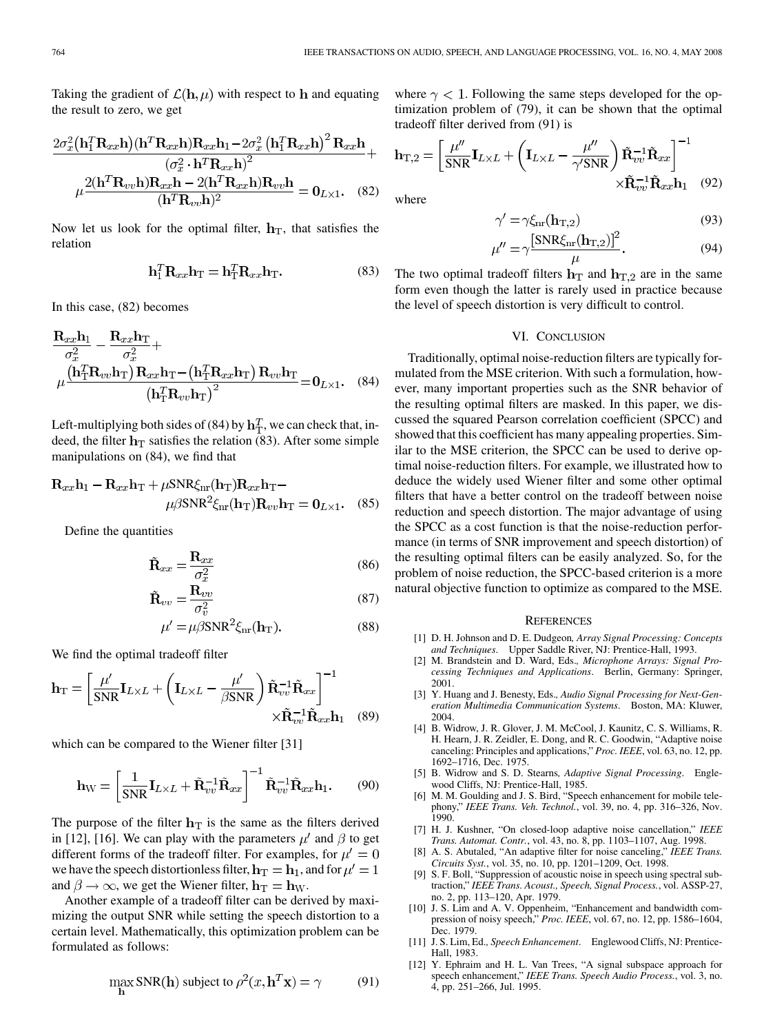Taking the gradient of  $\mathcal{L}(\mathbf{h}, \mu)$  with respect to **h** and equating the result to zero, we get

$$
\frac{2\sigma_x^2(\mathbf{h}_1^T \mathbf{R}_{xx}\mathbf{h})(\mathbf{h}^T \mathbf{R}_{xx}\mathbf{h})\mathbf{R}_{xx}\mathbf{h}_1 - 2\sigma_x^2(\mathbf{h}_1^T \mathbf{R}_{xx}\mathbf{h})^2}{(\sigma_x^2 \cdot \mathbf{h}^T \mathbf{R}_{xx}\mathbf{h})^2} + \frac{2(\mathbf{h}^T \mathbf{R}_{vv}\mathbf{h})\mathbf{R}_{xx}\mathbf{h} - 2(\mathbf{h}^T \mathbf{R}_{xx}\mathbf{h})\mathbf{R}_{vv}\mathbf{h}}{(\mathbf{h}^T \mathbf{R}_{vv}\mathbf{h})^2} = \mathbf{0}_{L\times 1}.
$$
 (82)

Now let us look for the optimal filter,  $h_T$ , that satisfies the relation

$$
\mathbf{h}_1^T \mathbf{R}_{xx} \mathbf{h}_T = \mathbf{h}_1^T \mathbf{R}_{xx} \mathbf{h}_T. \tag{83}
$$

In this case, (82) becomes

$$
\frac{\mathbf{R}_{xx}\mathbf{h}_1}{\sigma_x^2} - \frac{\mathbf{R}_{xx}\mathbf{h}_T}{\sigma_x^2} + \frac{\sigma_x^2}{\left(\mathbf{h}_T^T \mathbf{R}_{vv}\mathbf{h}_T\right)\mathbf{R}_{xx}\mathbf{h}_T - \left(\mathbf{h}_T^T \mathbf{R}_{xx}\mathbf{h}_T\right)\mathbf{R}_{vv}\mathbf{h}_T}{\left(\mathbf{h}_T^T \mathbf{R}_{vv}\mathbf{h}_T\right)^2} = \mathbf{0}_{L \times 1}.
$$
 (84)

Left-multiplying both sides of (84) by  $\mathbf{h}_T^T$ , we can check that, indeed, the filter  $\mathbf{h}_{\text{t}}$  satisfies the relation (83). After some simple manipulations on (84), we find that

$$
\mathbf{R}_{xx}\mathbf{h}_1 - \mathbf{R}_{xx}\mathbf{h}_T + \mu \text{SNR}\xi_{nr}(\mathbf{h}_T)\mathbf{R}_{xx}\mathbf{h}_T -
$$

$$
\mu \beta \text{SNR}^2 \xi_{nr}(\mathbf{h}_T)\mathbf{R}_{vv}\mathbf{h}_T = \mathbf{0}_{L\times 1}.
$$
 (85)

Define the quantities

$$
\tilde{\mathbf{R}}_{xx} = \frac{\mathbf{R}_{xx}}{\sigma_x^2} \tag{86}
$$

$$
\tilde{\mathbf{R}}_{vv} = \frac{\mathbf{R}_{vv}}{\sigma_v^2}
$$
 (87)

$$
\mu' = \mu \beta S N R^2 \xi_{\rm nr}(\mathbf{h}_{\rm T}).\tag{88}
$$

We find the optimal tradeoff filter

$$
\mathbf{h}_{\mathrm{T}} = \left[ \frac{\mu'}{\mathrm{SNR}} \mathbf{I}_{L \times L} + \left( \mathbf{I}_{L \times L} - \frac{\mu'}{\beta \mathrm{SNR}} \right) \tilde{\mathbf{R}}_{vv}^{-1} \tilde{\mathbf{R}}_{xx} \right]^{-1} \times \tilde{\mathbf{R}}_{vv}^{-1} \tilde{\mathbf{R}}_{xx} \mathbf{h}_{1} \quad (89)
$$

which can be compared to the Wiener filter [31]

$$
\mathbf{h}_{\mathrm{W}} = \left[\frac{1}{\mathrm{SNR}}\mathbf{I}_{L\times L} + \tilde{\mathbf{R}}_{vv}^{-1}\tilde{\mathbf{R}}_{xx}\right]^{-1}\tilde{\mathbf{R}}_{vv}^{-1}\tilde{\mathbf{R}}_{xx}\mathbf{h}_{1}.
$$
 (90)

The purpose of the filter  $\mathbf{h}_T$  is the same as the filters derived in [12], [16]. We can play with the parameters  $\mu'$  and  $\beta$  to get different forms of the tradeoff filter. For examples, for  $\mu' = 0$ we have the speech distortionless filter,  $\mathbf{h}_T = \mathbf{h}_1$ , and for  $\mu' = 1$ and  $\beta \to \infty$ , we get the Wiener filter,  $\mathbf{h}_T = \mathbf{h}_W$ .

Another example of a tradeoff filter can be derived by maximizing the output SNR while setting the speech distortion to a certain level. Mathematically, this optimization problem can be formulated as follows:

$$
\max_{\mathbf{h}} \text{SNR}(\mathbf{h}) \text{ subject to } \rho^2(x, \mathbf{h}^T \mathbf{x}) = \gamma \tag{91}
$$

where  $\gamma$  < 1. Following the same steps developed for the optimization problem of (79), it can be shown that the optimal tradeoff filter derived from (91) is

$$
\mathbf{h}_{\mathrm{T},2} = \left[\frac{\mu''}{\mathrm{SNR}}\mathbf{I}_{L\times L} + \left(\mathbf{I}_{L\times L} - \frac{\mu''}{\gamma'\mathrm{SNR}}\right)\tilde{\mathbf{R}}_{vv}^{-1}\tilde{\mathbf{R}}_{xx}\right]^{-1} \times \tilde{\mathbf{R}}_{vv}^{-1}\tilde{\mathbf{R}}_{xx}\mathbf{h}_1 \quad (92)
$$

where

$$
\gamma' = \gamma \xi_{\rm nr}(\mathbf{h}_{\rm T,2})\tag{93}
$$

$$
\mu'' = \gamma \frac{[\text{SNR}\xi_{\text{nr}}(\mathbf{h}_{\text{T},2})]^2}{\mu}.
$$
\n(94)

The two optimal tradeoff filters  $\mathbf{h}_T$  and  $\mathbf{h}_{T,2}$  are in the same form even though the latter is rarely used in practice because the level of speech distortion is very difficult to control.

### VI. CONCLUSION

Traditionally, optimal noise-reduction filters are typically formulated from the MSE criterion. With such a formulation, however, many important properties such as the SNR behavior of the resulting optimal filters are masked. In this paper, we discussed the squared Pearson correlation coefficient (SPCC) and showed that this coefficient has many appealing properties. Similar to the MSE criterion, the SPCC can be used to derive optimal noise-reduction filters. For example, we illustrated how to deduce the widely used Wiener filter and some other optimal filters that have a better control on the tradeoff between noise reduction and speech distortion. The major advantage of using the SPCC as a cost function is that the noise-reduction performance (in terms of SNR improvement and speech distortion) of the resulting optimal filters can be easily analyzed. So, for the problem of noise reduction, the SPCC-based criterion is a more natural objective function to optimize as compared to the MSE.

#### **REFERENCES**

- [1] D. H. Johnson and D. E. Dudgeon*, Array Signal Processing: Concepts and Techniques*. Upper Saddle River, NJ: Prentice-Hall, 1993.
- [2] M. Brandstein and D. Ward, Eds.*, Microphone Arrays: Signal Processing Techniques and Applications*. Berlin, Germany: Springer, 2001.
- [3] Y. Huang and J. Benesty, Eds.*, Audio Signal Processing for Next-Generation Multimedia Communication Systems*. Boston, MA: Kluwer, 2004.
- [4] B. Widrow, J. R. Glover, J. M. McCool, J. Kaunitz, C. S. Williams, R. H. Hearn, J. R. Zeidler, E. Dong, and R. C. Goodwin, "Adaptive noise canceling: Principles and applications," *Proc. IEEE*, vol. 63, no. 12, pp. 1692–1716, Dec. 1975.
- [5] B. Widrow and S. D. Stearns*, Adaptive Signal Processing*. Englewood Cliffs, NJ: Prentice-Hall, 1985.
- [6] M. M. Goulding and J. S. Bird, "Speech enhancement for mobile telephony," *IEEE Trans. Veh. Technol.*, vol. 39, no. 4, pp. 316–326, Nov. 1990.
- [7] H. J. Kushner, "On closed-loop adaptive noise cancellation," *IEEE Trans. Automat. Contr.*, vol. 43, no. 8, pp. 1103–1107, Aug. 1998.
- [8] A. S. Abutaled, "An adaptive filter for noise canceling," *IEEE Trans. Circuits Syst.*, vol. 35, no. 10, pp. 1201–1209, Oct. 1998.
- [9] S. F. Boll, "Suppression of acoustic noise in speech using spectral subtraction," *IEEE Trans. Acoust., Speech, Signal Process.*, vol. ASSP-27, no. 2, pp. 113–120, Apr. 1979.
- [10] J. S. Lim and A. V. Oppenheim, "Enhancement and bandwidth compression of noisy speech," *Proc. IEEE*, vol. 67, no. 12, pp. 1586–1604, Dec. 1979.
- [11] J. S. Lim, Ed.*, Speech Enhancement*. Englewood Cliffs, NJ: Prentice-Hall, 1983.
- [12] Y. Ephraim and H. L. Van Trees, "A signal subspace approach for speech enhancement," *IEEE Trans. Speech Audio Process.*, vol. 3, no. 4, pp. 251–266, Jul. 1995.